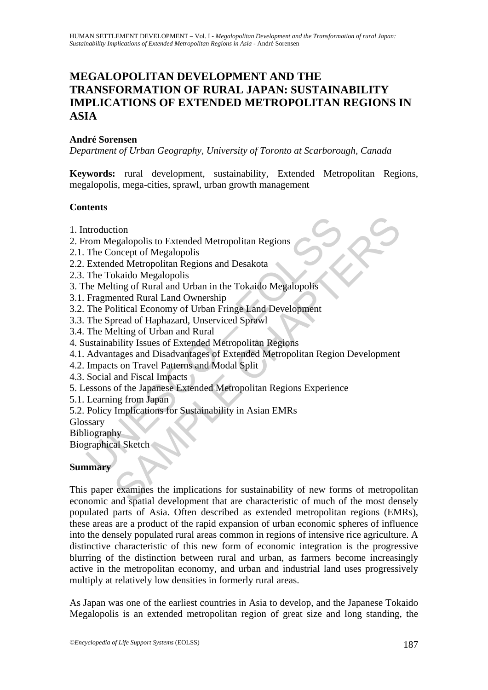# **MEGALOPOLITAN DEVELOPMENT AND THE TRANSFORMATION OF RURAL JAPAN: SUSTAINABILITY IMPLICATIONS OF EXTENDED METROPOLITAN REGIONS IN ASIA**

# **André Sorensen**

*Department of Urban Geography, University of Toronto at Scarborough, Canada* 

**Keywords:** rural development, sustainability, Extended Metropolitan Regions, megalopolis, mega-cities, sprawl, urban growth management

### **Contents**

- 1. Introduction
- 2. From Megalopolis to Extended Metropolitan Regions
- 2.1. The Concept of Megalopolis
- 2.2. Extended Metropolitan Regions and Desakota
- 2.3. The Tokaido Megalopolis
- 3. The Melting of Rural and Urban in the Tokaido Megalopolis
- 3.1. Fragmented Rural Land Ownership
- 3.2. The Political Economy of Urban Fringe Land Development
- 3.3. The Spread of Haphazard, Unserviced Sprawl
- 3.4. The Melting of Urban and Rural
- 4. Sustainability Issues of Extended Metropolitan Regions
- ntroduction<br>
rom Megalopolis to Extended Metropolitan Regions<br>
The Concept of Megalopolis<br>
Extended Metropolitan Regions and Desakota<br>
The Tokaido Megalopolis<br>
Fragmented Rural and Urban in the Tokaido Megalopolis<br>
Fragmen 4.1. Advantages and Disadvantages of Extended Metropolitan Region Development
- 4.2. Impacts on Travel Patterns and Modal Split
- 4.3. Social and Fiscal Impacts
- 5. Lessons of the Japanese Extended Metropolitan Regions Experience
- 5.1. Learning from Japan
- 5.2. Policy Implications for Sustainability in Asian EMRs

Glossary

Bibliography

Biographical Sketch

# **Summary**

tion<br>egalopolis to Extended Metropolitan Regions<br>morept of Megalopolis<br>head Metropolitan Regions and Desakota<br>ting of Rural and Urban in the Tokaido Megalopolis<br>ented Rural Land Ownership<br>orical Economy of Urban Finige Lan This paper examines the implications for sustainability of new forms of metropolitan economic and spatial development that are characteristic of much of the most densely populated parts of Asia. Often described as extended metropolitan regions (EMRs), these areas are a product of the rapid expansion of urban economic spheres of influence into the densely populated rural areas common in regions of intensive rice agriculture. A distinctive characteristic of this new form of economic integration is the progressive blurring of the distinction between rural and urban, as farmers become increasingly active in the metropolitan economy, and urban and industrial land uses progressively multiply at relatively low densities in formerly rural areas.

As Japan was one of the earliest countries in Asia to develop, and the Japanese Tokaido Megalopolis is an extended metropolitan region of great size and long standing, the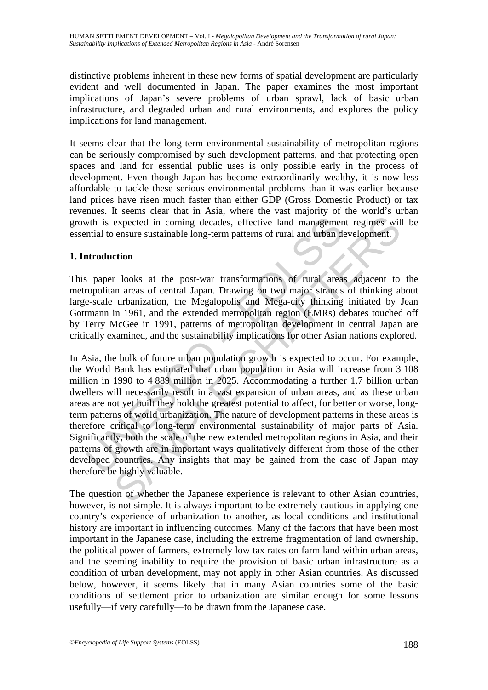distinctive problems inherent in these new forms of spatial development are particularly evident and well documented in Japan. The paper examines the most important implications of Japan's severe problems of urban sprawl, lack of basic urban infrastructure, and degraded urban and rural environments, and explores the policy implications for land management.

It seems clear that the long-term environmental sustainability of metropolitan regions can be seriously compromised by such development patterns, and that protecting open spaces and land for essential public uses is only possible early in the process of development. Even though Japan has become extraordinarily wealthy, it is now less affordable to tackle these serious environmental problems than it was earlier because land prices have risen much faster than either GDP (Gross Domestic Product) or tax revenues. It seems clear that in Asia, where the vast majority of the world's urban growth is expected in coming decades, effective land management regimes will be essential to ensure sustainable long-term patterns of rural and urban development.

# **1. Introduction**

This paper looks at the post-war transformations of rural areas adjacent to the metropolitan areas of central Japan. Drawing on two major strands of thinking about large-scale urbanization, the Megalopolis and Mega-city thinking initiated by Jean Gottmann in 1961, and the extended metropolitan region (EMRs) debates touched off by Terry McGee in 1991, patterns of metropolitan development in central Japan are critically examined, and the sustainability implications for other Asian nations explored.

wth is expected in coming decades, effective land managemer<br>
mitial to ensure sustainable long-term patterns of rural and urban d<br>
antroduction<br>
spaper looks at the post-war transformations of rural area<br>
ropolitan areas o expected in coming decades, effective land management regimes will ensure sustainable long-term patterns of rural and urban development.<br> **Coming the control of the set of control and the post-variant control and the post-**In Asia, the bulk of future urban population growth is expected to occur. For example, the World Bank has estimated that urban population in Asia will increase from 3 108 million in 1990 to 4 889 million in 2025. Accommodating a further 1.7 billion urban dwellers will necessarily result in a vast expansion of urban areas, and as these urban areas are not yet built they hold the greatest potential to affect, for better or worse, longterm patterns of world urbanization. The nature of development patterns in these areas is therefore critical to long-term environmental sustainability of major parts of Asia. Significantly, both the scale of the new extended metropolitan regions in Asia, and their patterns of growth are in important ways qualitatively different from those of the other developed countries. Any insights that may be gained from the case of Japan may therefore be highly valuable.

The question of whether the Japanese experience is relevant to other Asian countries, however, is not simple. It is always important to be extremely cautious in applying one country's experience of urbanization to another, as local conditions and institutional history are important in influencing outcomes. Many of the factors that have been most important in the Japanese case, including the extreme fragmentation of land ownership, the political power of farmers, extremely low tax rates on farm land within urban areas, and the seeming inability to require the provision of basic urban infrastructure as a condition of urban development, may not apply in other Asian countries. As discussed below, however, it seems likely that in many Asian countries some of the basic conditions of settlement prior to urbanization are similar enough for some lessons usefully—if very carefully—to be drawn from the Japanese case.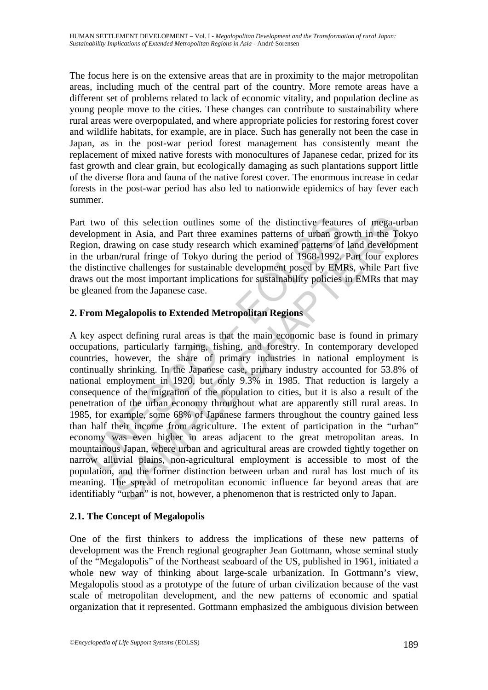The focus here is on the extensive areas that are in proximity to the major metropolitan areas, including much of the central part of the country. More remote areas have a different set of problems related to lack of economic vitality, and population decline as young people move to the cities. These changes can contribute to sustainability where rural areas were overpopulated, and where appropriate policies for restoring forest cover and wildlife habitats, for example, are in place. Such has generally not been the case in Japan, as in the post-war period forest management has consistently meant the replacement of mixed native forests with monocultures of Japanese cedar, prized for its fast growth and clear grain, but ecologically damaging as such plantations support little of the diverse flora and fauna of the native forest cover. The enormous increase in cedar forests in the post-war period has also led to nationwide epidemics of hay fever each summer.

Part two of this selection outlines some of the distinctive features of mega-urban development in Asia, and Part three examines patterns of urban growth in the Tokyo Region, drawing on case study research which examined patterns of land development in the urban/rural fringe of Tokyo during the period of 1968-1992. Part four explores the distinctive challenges for sustainable development posed by EMRs, while Part five draws out the most important implications for sustainability policies in EMRs that may be gleaned from the Japanese case.

# **2. From Megalopolis to Extended Metropolitan Regions**

two of this selection outlines some of the distinctive featurelopment in Asia, and Part three examines patterns of urban groom, drawing on case study research which examined patterns of the urban/rural fringe of Tokyo duri of this selection outlines some of the distinctive features of mega-unt in Asia, and Part three examines patterns of urban growth in the Team<br>m/rural fringe of Tokyo during the period of 1968-1992. Part four expl<br>m/rural f A key aspect defining rural areas is that the main economic base is found in primary occupations, particularly farming, fishing, and forestry. In contemporary developed countries, however, the share of primary industries in national employment is continually shrinking. In the Japanese case, primary industry accounted for 53.8% of national employment in 1920, but only 9.3% in 1985. That reduction is largely a consequence of the migration of the population to cities, but it is also a result of the penetration of the urban economy throughout what are apparently still rural areas. In 1985, for example, some 68% of Japanese farmers throughout the country gained less than half their income from agriculture. The extent of participation in the "urban" economy was even higher in areas adjacent to the great metropolitan areas. In mountainous Japan, where urban and agricultural areas are crowded tightly together on narrow alluvial plains, non-agricultural employment is accessible to most of the population, and the former distinction between urban and rural has lost much of its meaning. The spread of metropolitan economic influence far beyond areas that are identifiably "urban" is not, however, a phenomenon that is restricted only to Japan.

# **2.1. The Concept of Megalopolis**

One of the first thinkers to address the implications of these new patterns of development was the French regional geographer Jean Gottmann, whose seminal study of the "Megalopolis" of the Northeast seaboard of the US, published in 1961, initiated a whole new way of thinking about large-scale urbanization. In Gottmann's view, Megalopolis stood as a prototype of the future of urban civilization because of the vast scale of metropolitan development, and the new patterns of economic and spatial organization that it represented. Gottmann emphasized the ambiguous division between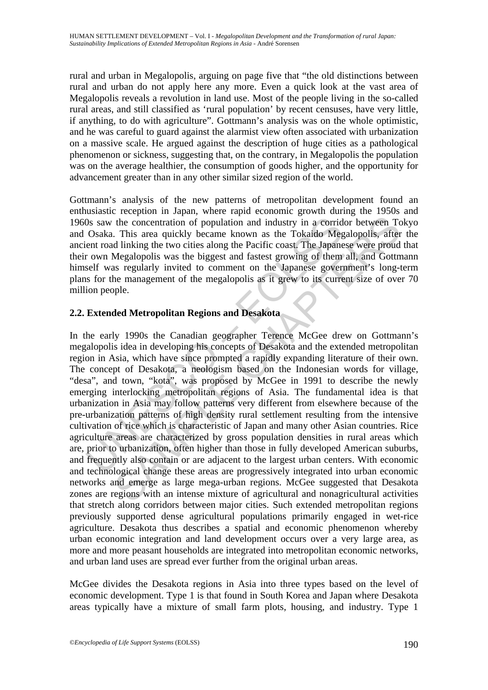rural and urban in Megalopolis, arguing on page five that "the old distinctions between rural and urban do not apply here any more. Even a quick look at the vast area of Megalopolis reveals a revolution in land use. Most of the people living in the so-called rural areas, and still classified as 'rural population' by recent censuses, have very little, if anything, to do with agriculture". Gottmann's analysis was on the whole optimistic, and he was careful to guard against the alarmist view often associated with urbanization on a massive scale. He argued against the description of huge cities as a pathological phenomenon or sickness, suggesting that, on the contrary, in Megalopolis the population was on the average healthier, the consumption of goods higher, and the opportunity for advancement greater than in any other similar sized region of the world.

Gottmann's analysis of the new patterns of metropolitan development found an enthusiastic reception in Japan, where rapid economic growth during the 1950s and 1960s saw the concentration of population and industry in a corridor between Tokyo and Osaka. This area quickly became known as the Tokaido Megalopolis, after the ancient road linking the two cities along the Pacific coast. The Japanese were proud that their own Megalopolis was the biggest and fastest growing of them all, and Gottmann himself was regularly invited to comment on the Japanese government's long-term plans for the management of the megalopolis as it grew to its current size of over 70 million people.

# **2.2. Extended Metropolitan Regions and Desakota**

Os saw the concentration of population and industry in a corrid<br>Osaka. This area quickly became known as the Tokaido Meg<br>ent road linking the two cities along the Pacific coast. The Japane<br>r own Megalopolis was the biggest the concentration of population and industry in a corridor between Tc. This area quickly became known as the Tokaido Megalopolis, after like two cities along the Pacific coast. The Japanese wee proud Megalopolis was the bi In the early 1990s the Canadian geographer Terence McGee drew on Gottmann's megalopolis idea in developing his concepts of Desakota and the extended metropolitan region in Asia, which have since prompted a rapidly expanding literature of their own. The concept of Desakota, a neologism based on the Indonesian words for village, "desa", and town, "kota", was proposed by McGee in 1991 to describe the newly emerging interlocking metropolitan regions of Asia. The fundamental idea is that urbanization in Asia may follow patterns very different from elsewhere because of the pre-urbanization patterns of high density rural settlement resulting from the intensive cultivation of rice which is characteristic of Japan and many other Asian countries. Rice agriculture areas are characterized by gross population densities in rural areas which are, prior to urbanization, often higher than those in fully developed American suburbs, and frequently also contain or are adjacent to the largest urban centers. With economic and technological change these areas are progressively integrated into urban economic networks and emerge as large mega-urban regions. McGee suggested that Desakota zones are regions with an intense mixture of agricultural and nonagricultural activities that stretch along corridors between major cities. Such extended metropolitan regions previously supported dense agricultural populations primarily engaged in wet-rice agriculture. Desakota thus describes a spatial and economic phenomenon whereby urban economic integration and land development occurs over a very large area, as more and more peasant households are integrated into metropolitan economic networks, and urban land uses are spread ever further from the original urban areas.

McGee divides the Desakota regions in Asia into three types based on the level of economic development. Type 1 is that found in South Korea and Japan where Desakota areas typically have a mixture of small farm plots, housing, and industry. Type 1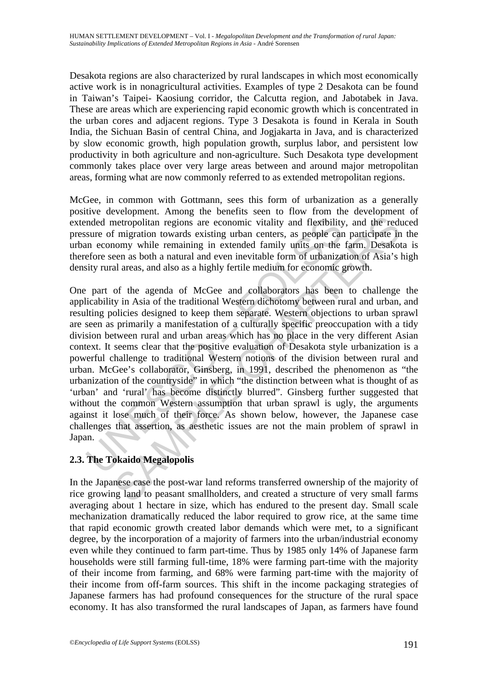Desakota regions are also characterized by rural landscapes in which most economically active work is in nonagricultural activities. Examples of type 2 Desakota can be found in Taiwan's Taipei- Kaosiung corridor, the Calcutta region, and Jabotabek in Java. These are areas which are experiencing rapid economic growth which is concentrated in the urban cores and adjacent regions. Type 3 Desakota is found in Kerala in South India, the Sichuan Basin of central China, and Jogjakarta in Java, and is characterized by slow economic growth, high population growth, surplus labor, and persistent low productivity in both agriculture and non-agriculture. Such Desakota type development commonly takes place over very large areas between and around major metropolitan areas, forming what are now commonly referred to as extended metropolitan regions.

McGee, in common with Gottmann, sees this form of urbanization as a generally positive development. Among the benefits seen to flow from the development of extended metropolitan regions are economic vitality and flexibility, and the reduced pressure of migration towards existing urban centers, as people can participate in the urban economy while remaining in extended family units on the farm. Desakota is therefore seen as both a natural and even inevitable form of urbanization of Asia's high density rural areas, and also as a highly fertile medium for economic growth.

moled metropolitan regions are economic vitality and flexibility<br>sure of migration towards existing urban centers, as people can<br>are conomy while remaining in extended family units on the<br>efore seen as both a natural and e netropolitan regions are economic vitality and flexibility, and the red<br>f migration towards existing urban centers, as people can participate in<br>omony while remaining in extended family units on the fam. Desakot<br>omony whil One part of the agenda of McGee and collaborators has been to challenge the applicability in Asia of the traditional Western dichotomy between rural and urban, and resulting policies designed to keep them separate. Western objections to urban sprawl are seen as primarily a manifestation of a culturally specific preoccupation with a tidy division between rural and urban areas which has no place in the very different Asian context. It seems clear that the positive evaluation of Desakota style urbanization is a powerful challenge to traditional Western notions of the division between rural and urban. McGee's collaborator, Ginsberg, in 1991, described the phenomenon as "the urbanization of the countryside" in which "the distinction between what is thought of as 'urban' and 'rural' has become distinctly blurred". Ginsberg further suggested that without the common Western assumption that urban sprawl is ugly, the arguments against it lose much of their force. As shown below, however, the Japanese case challenges that assertion, as aesthetic issues are not the main problem of sprawl in Japan.

# **2.3. The Tokaido Megalopolis**

In the Japanese case the post-war land reforms transferred ownership of the majority of rice growing land to peasant smallholders, and created a structure of very small farms averaging about 1 hectare in size, which has endured to the present day. Small scale mechanization dramatically reduced the labor required to grow rice, at the same time that rapid economic growth created labor demands which were met, to a significant degree, by the incorporation of a majority of farmers into the urban/industrial economy even while they continued to farm part-time. Thus by 1985 only 14% of Japanese farm households were still farming full-time, 18% were farming part-time with the majority of their income from farming, and 68% were farming part-time with the majority of their income from off-farm sources. This shift in the income packaging strategies of Japanese farmers has had profound consequences for the structure of the rural space economy. It has also transformed the rural landscapes of Japan, as farmers have found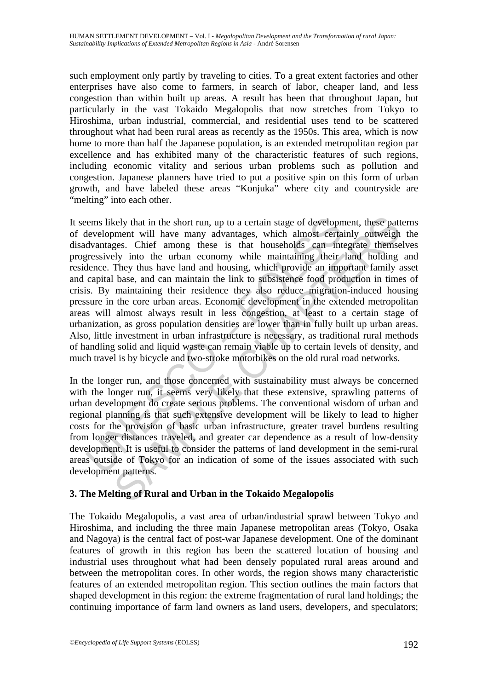such employment only partly by traveling to cities. To a great extent factories and other enterprises have also come to farmers, in search of labor, cheaper land, and less congestion than within built up areas. A result has been that throughout Japan, but particularly in the vast Tokaido Megalopolis that now stretches from Tokyo to Hiroshima, urban industrial, commercial, and residential uses tend to be scattered throughout what had been rural areas as recently as the 1950s. This area, which is now home to more than half the Japanese population, is an extended metropolitan region par excellence and has exhibited many of the characteristic features of such regions, including economic vitality and serious urban problems such as pollution and congestion. Japanese planners have tried to put a positive spin on this form of urban growth, and have labeled these areas "Konjuka" where city and countryside are "melting" into each other.

rems likely that in the short run, up to a certain stage of development will have many advantages, which almost certa dvantages. Chief among these is that households can interessively into the urban economy while maintaini kely that in the short run, up to a certain stage of development, these patt<br>ment will have many advantages, which almost certainly outweigh<br>ges. Chief among these is that households can integrate themes<br>ely into the urban It seems likely that in the short run, up to a certain stage of development, these patterns of development will have many advantages, which almost certainly outweigh the disadvantages. Chief among these is that households can integrate themselves progressively into the urban economy while maintaining their land holding and residence. They thus have land and housing, which provide an important family asset and capital base, and can maintain the link to subsistence food production in times of crisis. By maintaining their residence they also reduce migration-induced housing pressure in the core urban areas. Economic development in the extended metropolitan areas will almost always result in less congestion, at least to a certain stage of urbanization, as gross population densities are lower than in fully built up urban areas. Also, little investment in urban infrastructure is necessary, as traditional rural methods of handling solid and liquid waste can remain viable up to certain levels of density, and much travel is by bicycle and two-stroke motorbikes on the old rural road networks.

In the longer run, and those concerned with sustainability must always be concerned with the longer run, it seems very likely that these extensive, sprawling patterns of urban development do create serious problems. The conventional wisdom of urban and regional planning is that such extensive development will be likely to lead to higher costs for the provision of basic urban infrastructure, greater travel burdens resulting from longer distances traveled, and greater car dependence as a result of low-density development. It is useful to consider the patterns of land development in the semi-rural areas outside of Tokyo for an indication of some of the issues associated with such development patterns.

# **3. The Melting of Rural and Urban in the Tokaido Megalopolis**

The Tokaido Megalopolis, a vast area of urban/industrial sprawl between Tokyo and Hiroshima, and including the three main Japanese metropolitan areas (Tokyo, Osaka and Nagoya) is the central fact of post-war Japanese development. One of the dominant features of growth in this region has been the scattered location of housing and industrial uses throughout what had been densely populated rural areas around and between the metropolitan cores. In other words, the region shows many characteristic features of an extended metropolitan region. This section outlines the main factors that shaped development in this region: the extreme fragmentation of rural land holdings; the continuing importance of farm land owners as land users, developers, and speculators;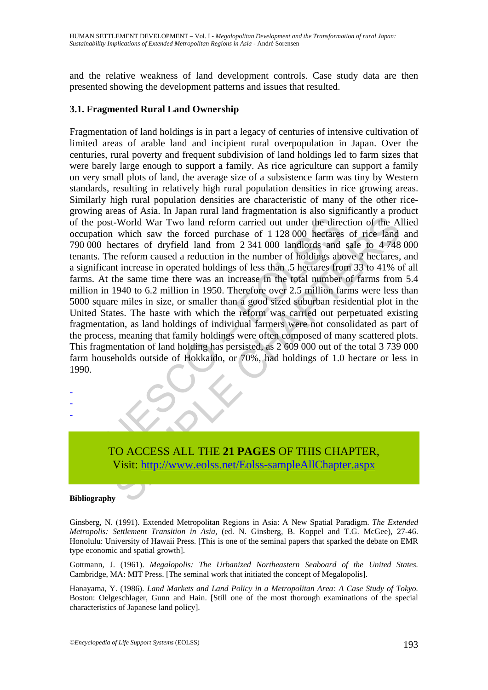and the relative weakness of land development controls. Case study data are then presented showing the development patterns and issues that resulted.

#### **3.1. Fragmented Rural Land Ownership**

the post-World War Two land reform carried out under the direct upation which saw the forced purchase of 1128 000 hectares 000 hectares of dryfield land from 2 341 000 landlords and thus. The reform caused a reduction in t -World War Two land reform carried out under the direction of the Air<br>which saw the forced purchase of 1128 000 hectares of rice land<br>ectrares of dryfield land from 2 341 000 landlords and sale to 4748<br>ectrares, therefore Fragmentation of land holdings is in part a legacy of centuries of intensive cultivation of limited areas of arable land and incipient rural overpopulation in Japan. Over the centuries, rural poverty and frequent subdivision of land holdings led to farm sizes that were barely large enough to support a family. As rice agriculture can support a family on very small plots of land, the average size of a subsistence farm was tiny by Western standards, resulting in relatively high rural population densities in rice growing areas. Similarly high rural population densities are characteristic of many of the other ricegrowing areas of Asia. In Japan rural land fragmentation is also significantly a product of the post-World War Two land reform carried out under the direction of the Allied occupation which saw the forced purchase of 1 128 000 hectares of rice land and 790 000 hectares of dryfield land from 2 341 000 landlords and sale to 4 748 000 tenants. The reform caused a reduction in the number of holdings above 2 hectares, and a significant increase in operated holdings of less than .5 hectares from 33 to 41% of all farms. At the same time there was an increase in the total number of farms from 5.4 million in 1940 to 6.2 million in 1950. Therefore over 2.5 million farms were less than 5000 square miles in size, or smaller than a good sized suburban residential plot in the United States. The haste with which the reform was carried out perpetuated existing fragmentation, as land holdings of individual farmers were not consolidated as part of the process, meaning that family holdings were often composed of many scattered plots. This fragmentation of land holding has persisted, as 2 609 000 out of the total 3 739 000 farm households outside of Hokkaido, or 70%, had holdings of 1.0 hectare or less in 1990.



#### **Bibliography**

- - -

Ginsberg, N. (1991). Extended Metropolitan Regions in Asia: A New Spatial Paradigm. *The Extended Metropolis: Settlement Transition in Asia,* (ed. N. Ginsberg, B. Koppel and T.G. McGee), 27-46. Honolulu: University of Hawaii Press. [This is one of the seminal papers that sparked the debate on EMR type economic and spatial growth].

Gottmann, J. (1961). *Megalopolis: The Urbanized Northeastern Seaboard of the United States.*  Cambridge, MA: MIT Press. [The seminal work that initiated the concept of Megalopolis].

Hanayama, Y. (1986). *Land Markets and Land Policy in a Metropolitan Area: A Case Study of Tokyo.* Boston: Oelgeschlager, Gunn and Hain. [Still one of the most thorough examinations of the special characteristics of Japanese land policy].